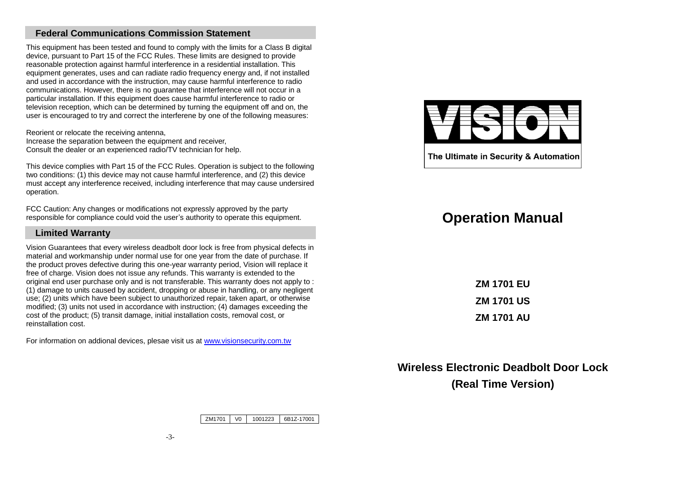# **Federal Communications Commission Statement**

This equipment has been tested and found to comply with the limits for a Class B digital device, pursuant to Part 15 of the FCC Rules. These limits are designed to provide reasonable protection against harmful interference in a residential installation. This equipment generates, uses and can radiate radio frequency energy and, if not installed and used in accordance with the instruction, may cause harmful interference to radio communications. However, there is no guarantee that interference will not occur in a particular installation. If this equipment does cause harmful interference to radio or television reception, which can be determined by turning the equipment off and on, the user is encouraged to try and correct the interferene by one of the following measures:

Reorient or relocate the receiving antenna, Increase the separation between the equipment and receiver, Consult the dealer or an experienced radio/TV technician for help.

This device complies with Part 15 of the FCC Rules. Operation is subject to the following two conditions: (1) this device may not cause harmful interference, and (2) this device must accept any interference received, including interference that may cause undersired operation.

FCC Caution: Any changes or modifications not expressly approved by the party responsible for compliance could void the user's authority to operate this equipment.

#### **Limited Warranty**

Vision Guarantees that every wireless deadbolt door lock is free from physical defects in material and workmanship under normal use for one year from the date of purchase. If the product proves defective during this one-year warranty period, Vision will replace it free of charge. Vision does not issue any refunds. This warranty is extended to the original end user purchase only and is not transferable. This warranty does not apply to : (1) damage to units caused by accident, dropping or abuse in handling, or any negligent use; (2) units which have been subject to unauthorized repair, taken apart, or otherwise modified; (3) units not used in accordance with instruction; (4) damages exceeding the cost of the product; (5) transit damage, initial installation costs, removal cost, or reinstallation cost.

For information on addional devices, plesae visit us at [www.visionsecurity.com.tw](http://www.visionsecurity.com.tw/)



The Ultimate in Security & Automation

# **Operation Manual**

**ZM 1701 EU ZM 1701 US ZM 1701 AU**

**Wireless Electronic Deadbolt Door Lock (Real Time Version)**

ZM1701 V0 1001223 6B1Z-17001